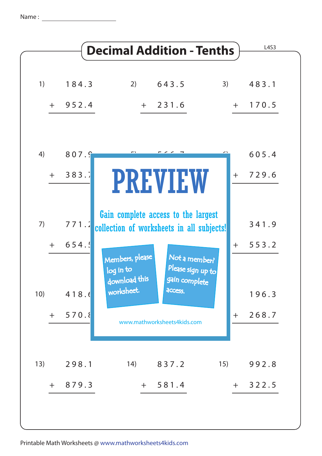